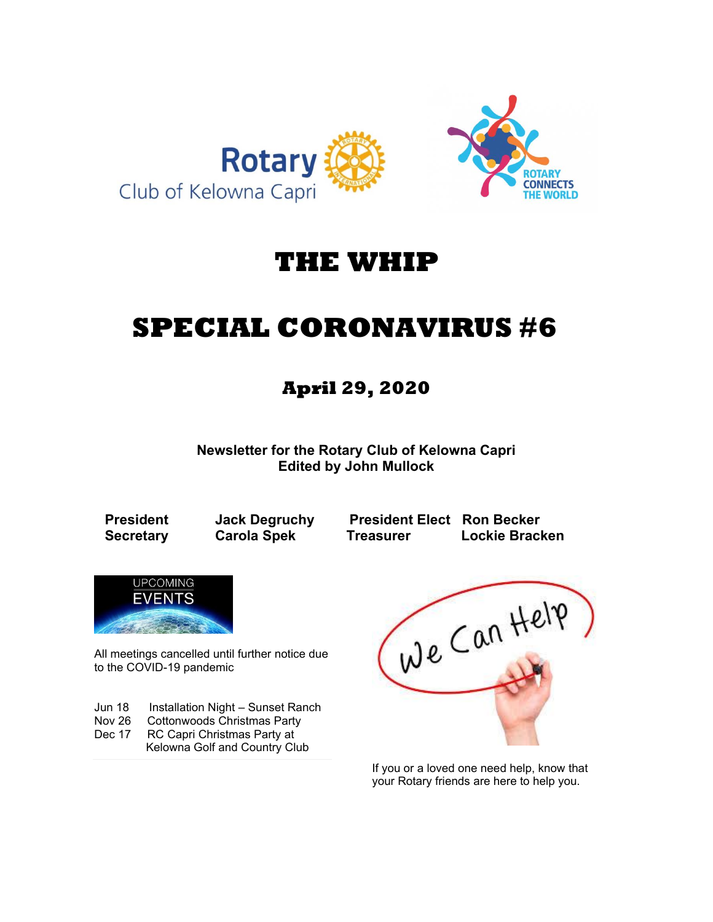

## **THE WHIP**

# **SPECIAL CORONAVIRUS #6**

### **April 29, 2020**

**Newsletter for the Rotary Club of Kelowna Capri Edited by John Mullock**

**President Jack Degruchy President Elect Ron Becker Secretary Carola Spek Treasurer Lockie Bracken**



All meetings cancelled until further notice due to the COVID-19 pandemic

Jun 18 Installation Night – Sunset Ranch Nov 26 Cottonwoods Christmas Party Dec 17 RC Capri Christmas Party at

Kelowna Golf and Country Club

We Can Help

If you or a loved one need help, know that your Rotary friends are here to help you.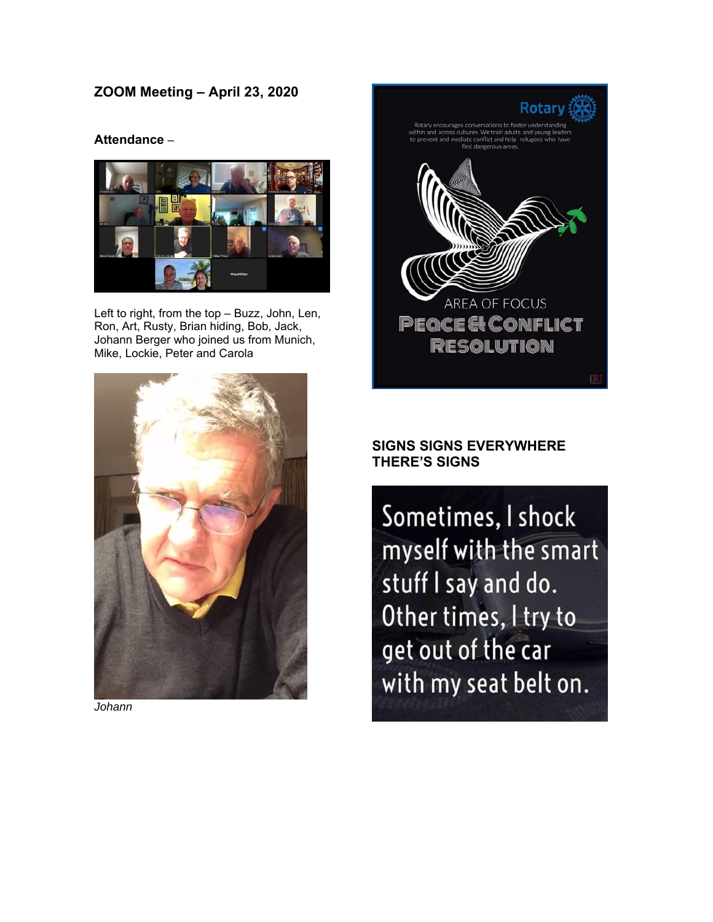### **ZOOM Meeting – April 23, 2020**

#### **Attendance** –



Left to right, from the top – Buzz, John, Len, Ron, Art, Rusty, Brian hiding, Bob, Jack, Johann Berger who joined us from Munich, Mike, Lockie, Peter and Carola



*Johann* 



#### **SIGNS SIGNS EVERYWHERE THERE'S SIGNS**

Sometimes, I shock myself with the smart stuff I say and do. Other times, I try to get out of the car with my seat belt on.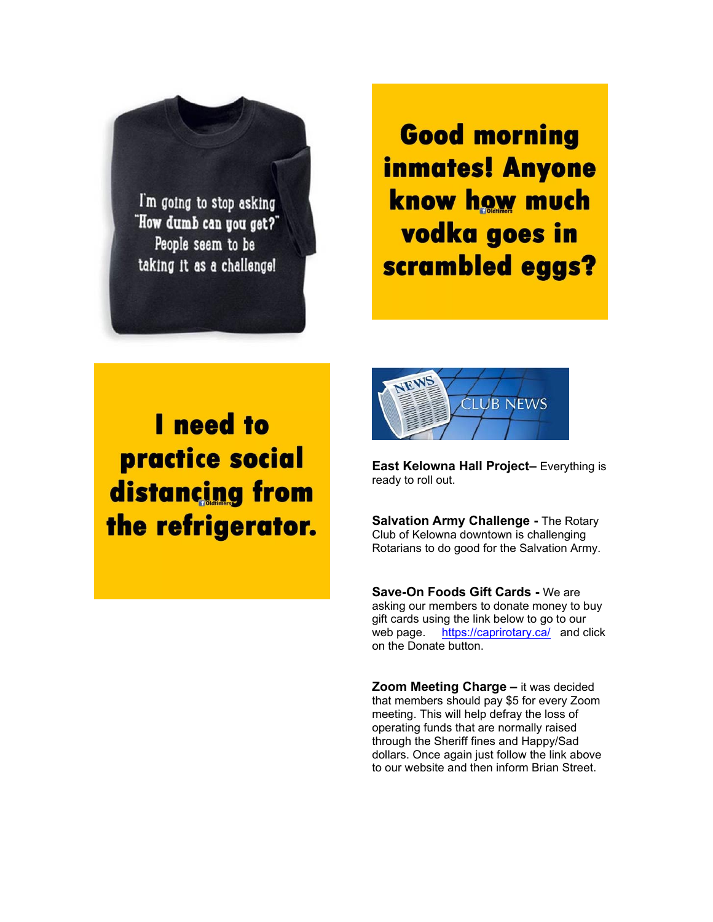

**Good morning inmates! Anyone** know how much vodka goes in scrambled eggs?

I need to practice social distancing from the refrigerator.



**East Kelowna Hall Project–** Everything is ready to roll out.

**Salvation Army Challenge -** The Rotary Club of Kelowna downtown is challenging Rotarians to do good for the Salvation Army.

**Save-On Foods Gift Cards -** We are asking our members to donate money to buy gift cards using the link below to go to our web page. <https://caprirotary.ca/>and click on the Donate button.

**Zoom Meeting Charge –** it was decided that members should pay \$5 for every Zoom meeting. This will help defray the loss of operating funds that are normally raised through the Sheriff fines and Happy/Sad dollars. Once again just follow the link above to our website and then inform Brian Street.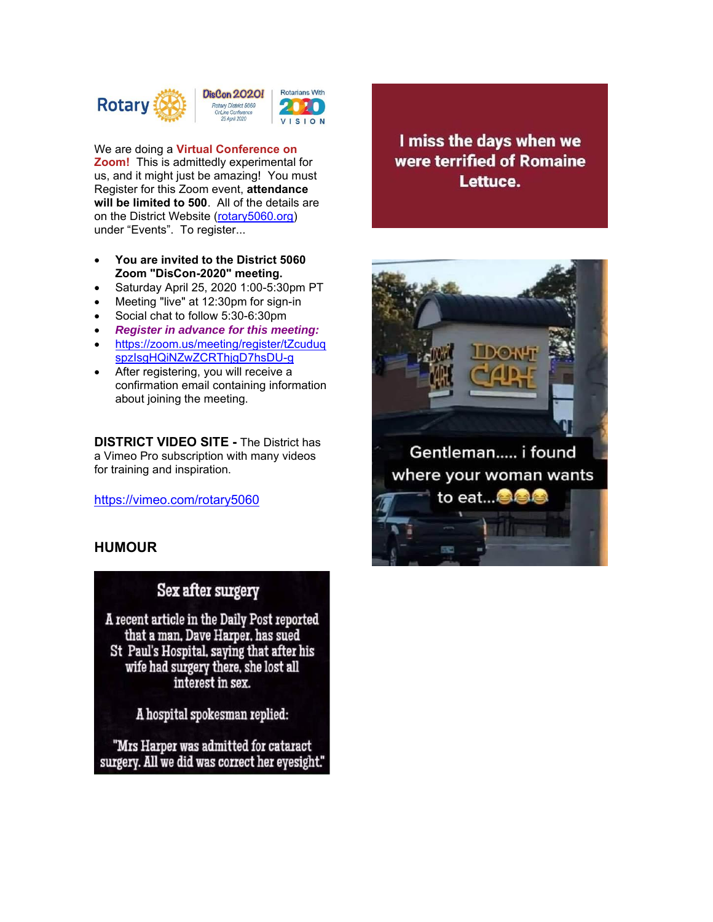

We are doing a **Virtual Conference on Zoom!** This is admittedly experimental for us, and it might just be amazing! You must Register for this Zoom event, **attendance will be limited to 500**. All of the details are on the District Website [\(rotary5060.org\)](http://rotary5060.org/) under "Events". To register...

- **You are invited to the District 5060 Zoom "DisCon-2020" meeting.**
- Saturday April 25, 2020 1:00-5:30pm PT
- Meeting "live" at 12:30pm for sign-in
- Social chat to follow 5:30-6:30pm
- *Register in advance for this meeting:*
- [https://zoom.us/meeting/register/tZcuduq](https://zoom.us/meeting/register/tZcuduqspzIsgHQiNZwZCRThjgD7hsDU-g) [spzIsgHQiNZwZCRThjgD7hsDU-g](https://zoom.us/meeting/register/tZcuduqspzIsgHQiNZwZCRThjgD7hsDU-g)
- After registering, you will receive a confirmation email containing information about joining the meeting.

**DISTRICT VIDEO SITE -** The District has a Vimeo Pro subscription with many videos for training and inspiration.

<https://vimeo.com/rotary5060>

#### **HUMOUR**

### Sex after surgery

A recent article in the Daily Post reported that a man, Dave Harper, has sued St Paul's Hospital, saying that after his wife had surgery there, she lost all interest in sex.

A hospital spokesman replied:

"Mrs Harper was admitted for cataract surgery. All we did was correct her eyesight."

I miss the days when we were terrified of Romaine Lettuce.

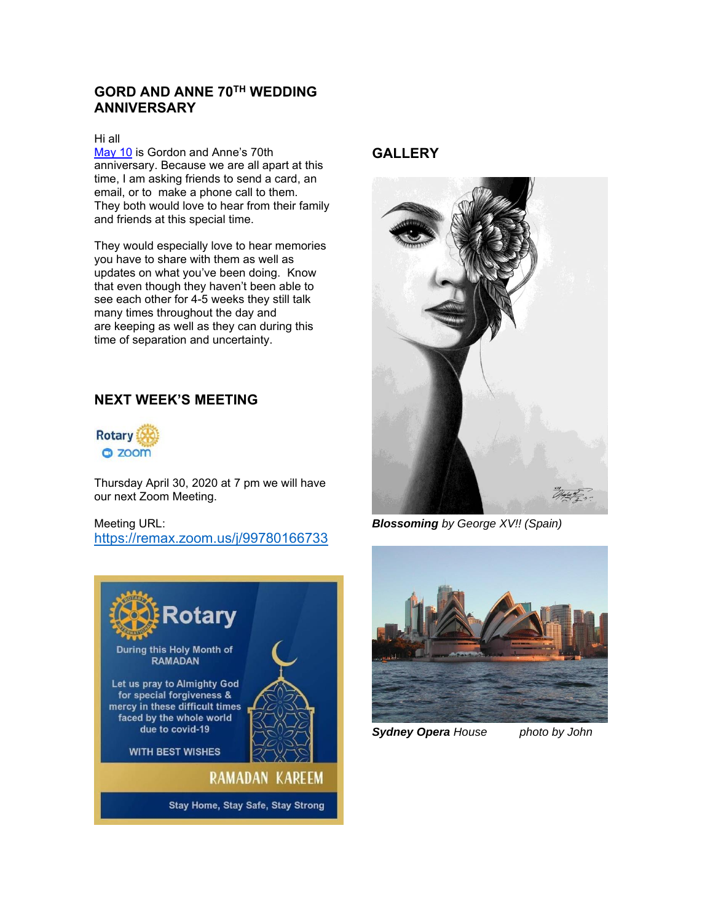#### **GORD AND ANNE 70TH WEDDING ANNIVERSARY**

#### Hi all

[May 10](x-apple-data-detectors://0/) is Gordon and Anne's 70th anniversary. Because we are all apart at this time, I am asking friends to send a card, an email, or to make a phone call to them. They both would love to hear from their family and friends at this special time.

They would especially love to hear memories you have to share with them as well as updates on what you've been doing. Know that even though they haven't been able to see each other for 4-5 weeks they still talk many times throughout the day and are keeping as well as they can during this time of separation and uncertainty.

#### **NEXT WEEK'S MEETING**



Thursday April 30, 2020 at 7 pm we will have our next Zoom Meeting.

Meeting URL: [https://remax.zoom.us/j/99780166733](https://remax.zoom.us/j/99780166733#_blank)



#### **GALLERY**



*Blossoming by George XV!! (Spain)*



*Sydney Opera House photo by John*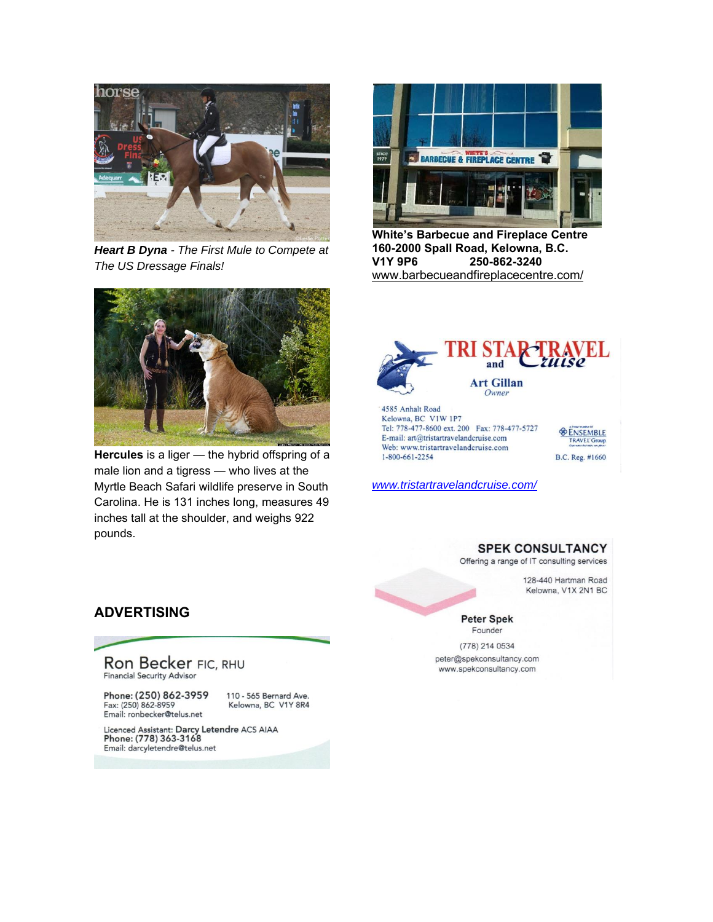

*Heart B Dyna - [The First Mule to](https://www.google.com/url?sa=i&url=https%3A%2F%2Fhorses-world.com%2F2018%2F07%2F18%2Fheart-b-dyna-the-first-mule-to-compete-at-the-us-dressage-finals%2F&psig=AOvVaw2gbBORwUv1PGFmDimssuyo&ust=1588301583636000&source=images&cd=vfe&ved=0CA0QjhxqFwoTCMDcotuSj-kCFQAAAAAdAAAAABAD) Compete at [The US Dressage Finals!](https://www.google.com/url?sa=i&url=https%3A%2F%2Fhorses-world.com%2F2018%2F07%2F18%2Fheart-b-dyna-the-first-mule-to-compete-at-the-us-dressage-finals%2F&psig=AOvVaw2gbBORwUv1PGFmDimssuyo&ust=1588301583636000&source=images&cd=vfe&ved=0CA0QjhxqFwoTCMDcotuSj-kCFQAAAAAdAAAAABAD)*



**Hercules** is a liger — the [hybrid offspring of a](http://www.youtube.com/watch?v=s4ybXJOrKes)  [male lion and a tigress](http://www.youtube.com/watch?v=s4ybXJOrKes) — who lives at the Myrtle Beach Safari wildlife preserve in South Carolina. He is 131 inches long, measures 49 inches tall at the shoulder, and weighs 922 pounds.



**White's Barbecue and Fireplace Centre 160-2000 Spall Road, Kelowna, B.C. V1Y 9P6 250-862-3240** [www.barbecueandfireplacecentre.com/](http://www.barbecueandfireplacecentre.com/)



E-mail: art@tristartravelandcruise.com Web: www.tristartravelandcruise.com 1-800-661-2254



*[www.tristartravelandcruise.com/](http://www.tristartravelandcruise.com/)*

#### **SPEK CONSULTANCY**

Offering a range of IT consulting services

128-440 Hartman Road Kelowna, V1X 2N1 BC

**Peter Spek** Founder

(778) 214 0534 peter@spekconsultancy.com www.spekconsultancy.com

#### **ADVERTISING**

# Ron Becker FIC, RHU<br>Financial Security Advisor

Phone: (250) 862-3959 Fax: (250) 862-8959 Email: ronbecker@telus.net

110 - 565 Bernard Ave. Kelowna, BC V1Y 8R4

Licenced Assistant: Darcy Letendre ACS AIAA<br>Phone: (778) 363-3168 Email: darcyletendre@telus.net